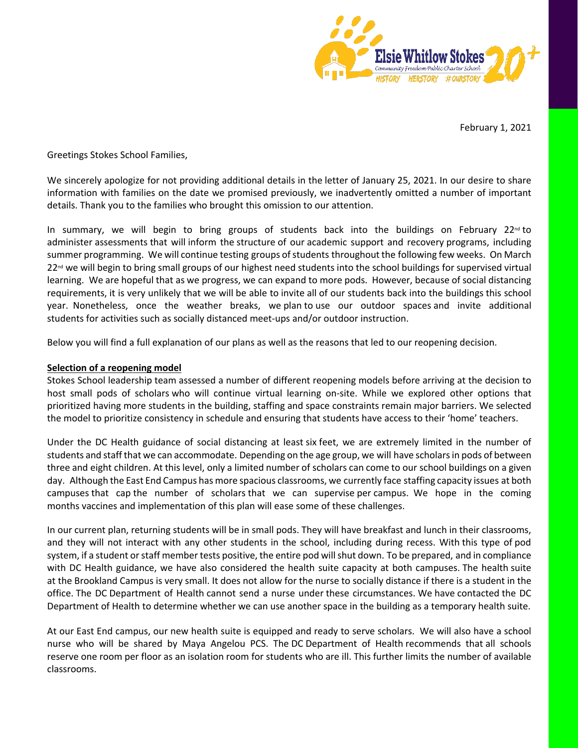

February 1, 2021

Greetings Stokes School Families, 

We sincerely apologize for not providing additional details in the letter of January 25, 2021. In our desire to share information with families on the date we promised previously, we inadvertently omitted a number of important details. Thank you to the families who brought this omission to our attention.

In summary, we will begin to bring groups of students back into the buildings on February 22<sup>nd</sup> to administer assessments that will inform the structure of our academic support and recovery programs, including summer programming. We will continue testing groups of students throughout the following few weeks. On March 22<sup>nd</sup> we will begin to bring small groups of our highest need students into the school buildings for supervised virtual learning. We are hopeful that as we progress, we can expand to more pods.  However, because of social distancing requirements, it is very unlikely that we will be able to invite all of our students back into the buildings this school year.  Nonetheless, once the weather breaks, we plan to use our outdoor spaces and invite additional students for activities such as socially distanced meet-ups and/or outdoor instruction.

Below you will find a full explanation of our plans as well as the reasons that led to our reopening decision. 

## **Selection of a reopening model**

Stokes School leadership team assessed a number of different reopening models before arriving at the decision to host small pods of scholars who will continue virtual learning on-site. While we explored other options that prioritized having more students in the building, staffing and space constraints remain major barriers. We selected the model to prioritize consistency in schedule and ensuring that students have access to their 'home' teachers.

Under the DC Health guidance of social distancing at least six feet, we are extremely limited in the number of students and staff that we can accommodate. Depending on the age group, we will have scholars in pods of between three and eight children. At this level, only a limited number of scholars can come to our school buildings on a given day. Although the East End Campus has more spacious classrooms, we currently face staffing capacity issues at both campuses that cap the number of scholars that we can supervise per campus.  We hope in the coming months vaccines and implementation of this plan will ease some of these challenges.

In our current plan, returning students will be in small pods. They will have breakfast and lunch in their classrooms, and they will not interact with any other students in the school, including during recess. With this type of pod system, if a student or staff member tests positive, the entire pod will shut down. To be prepared, and in compliance with DC Health guidance, we have also considered the health suite capacity at both campuses. The health suite at the Brookland Campus is very small. It does not allow for the nurse to socially distance if there is a student in the office. The DC Department of Health cannot send a nurse under these circumstances. We have contacted the DC Department of Health to determine whether we can use another space in the building as a temporary health suite.

At our East End campus, our new health suite is equipped and ready to serve scholars. We will also have a school nurse who will be shared by Maya Angelou PCS. The DC Department of Health recommends that all schools reserve one room per floor as an isolation room for students who are ill. This further limits the number of available classrooms.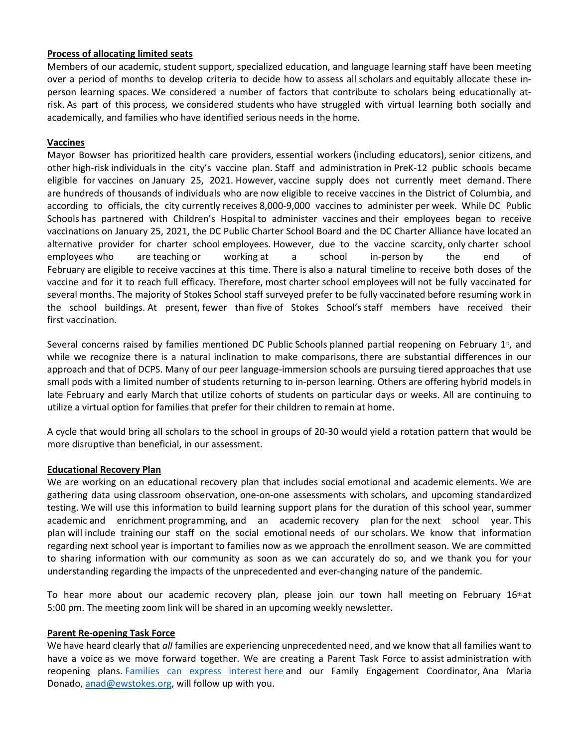#### **Process of allocating limited seats**

Members of our academic, student support, specialized education, and language learning staff have been meeting over a period of months to develop criteria to decide how to assess all scholars and equitably allocate these inperson learning spaces. We considered a number of factors that contribute to scholars being educationally atrisk. As part of this process, we considered students who have struggled with virtual learning both socially and academically, and families who have identified serious needs in the home.   

## **Vaccines**

Mayor Bowser has prioritized health care providers, essential workers (including educators), senior citizens, and other high-risk individuals in the city's vaccine plan. Staff and administration in PreK-12 public schools became eligible for vaccines on January 25, 2021. However, vaccine supply does not currently meet demand. There are hundreds of thousands of individuals who are now eligible to receive vaccines in the District of Columbia, and according to officials, the city currently receives 8,000-9,000 vaccines to administer per week.  While DC Public Schools has partnered with Children's Hospital to administer vaccines and their employees began to receive vaccinations on January 25, 2021, the DC Public Charter School Board and the DC Charter Alliance have located an alternative provider for charter school employees. However, due to the vaccine scarcity, only charter school employees who are teaching or working at a school in-person by the end of February are eligible to receive vaccines at this time. There is also a natural timeline to receive both doses of the vaccine and for it to reach full efficacy. Therefore, most charter school employees will not be fully vaccinated for several months. The majority of Stokes School staff surveyed prefer to be fully vaccinated before resuming work in the school buildings. At present, fewer than five of Stokes School's staff members have received their first vaccination.

Several concerns raised by families mentioned DC Public Schools planned partial reopening on February 1st, and while we recognize there is a natural inclination to make comparisons, there are substantial differences in our approach and that of DCPS. Many of our peer language-immersion schools are pursuing tiered approaches that use small pods with a limited number of students returning to in-person learning. Others are offering hybrid models in late February and early March that utilize cohorts of students on particular days or weeks. All are continuing to utilize a virtual option for families that prefer for their children to remain at home.

A cycle that would bring all scholars to the school in groups of 20-30 would yield a rotation pattern that would be more disruptive than beneficial, in our assessment.  

# **Educational Recovery Plan**

We are working on an educational recovery plan that includes social emotional and academic elements. We are gathering data using classroom observation, one-on-one assessments with scholars, and upcoming standardized testing. We will use this information to build learning support plans for the duration of this school year, summer academic and enrichment programming, and an academic recovery plan for the next school year. This plan will include training our staff on the social emotional needs of our scholars. We know that information regarding next school year is important to families now as we approach the enrollment season. We are committed to sharing information with our community as soon as we can accurately do so, and we thank you for your understanding regarding the impacts of the unprecedented and ever-changing nature of the pandemic. 

To hear more about our academic recovery plan, please join our town hall meeting on February 16<sup>th</sup> at 5:00 pm. The meeting zoom link will be shared in an upcoming weekly newsletter.

#### **Parent Re-opening Task Force**

We have heard clearly that *all*families are experiencing unprecedented need, and we know that all families want to have a voice as we move forward together. We are creating a Parent Task Force to assist administration with reopening plans. Families can express interest here and our Family Engagement Coordinator, Ana Maria Donado, anad@ewstokes.org, will follow up with you.